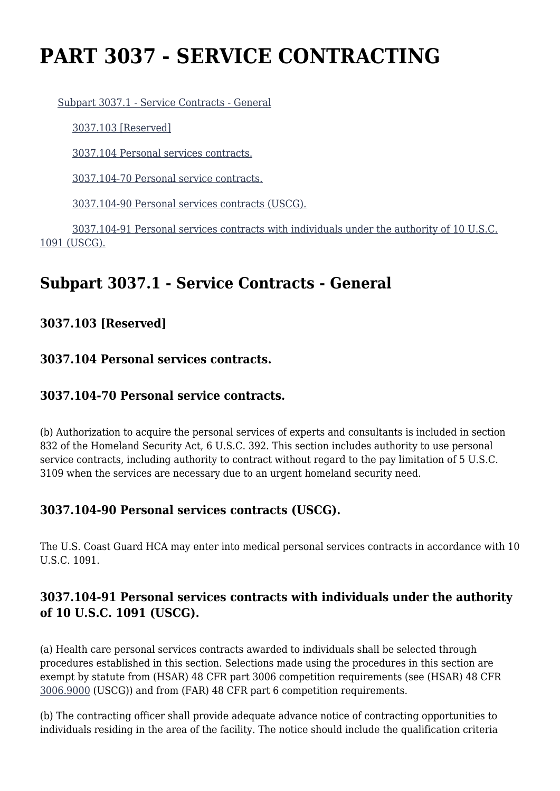# **PART 3037 - SERVICE CONTRACTING**

[Subpart 3037.1 - Service Contracts - General](https://origin-www.acquisition.gov/%5Brp:link:hsar-part-3037%5D#Subpart_3037_1_T48_70213371)

[3037.103 \[Reserved\]](https://origin-www.acquisition.gov/%5Brp:link:hsar-part-3037%5D#Section_3037_103_T48_7021337111)

[3037.104 Personal services contracts.](https://origin-www.acquisition.gov/%5Brp:link:hsar-part-3037%5D#Section_3037_104_T48_7021337112)

[3037.104-70 Personal service contracts.](https://origin-www.acquisition.gov/%5Brp:link:hsar-part-3037%5D#Section_3037_104_70_T48_7021337113)

[3037.104-90 Personal services contracts \(USCG\).](https://origin-www.acquisition.gov/%5Brp:link:hsar-part-3037%5D#Section_3037_104_90_T48_7021337114)

 [3037.104-91 Personal services contracts with individuals under the authority of 10 U.S.C.](https://origin-www.acquisition.gov/%5Brp:link:hsar-part-3037%5D#Section_3037_104_91_T48_7021337115) [1091 \(USCG\).](https://origin-www.acquisition.gov/%5Brp:link:hsar-part-3037%5D#Section_3037_104_91_T48_7021337115)

## **Subpart 3037.1 - Service Contracts - General**

**3037.103 [Reserved]**

#### **3037.104 Personal services contracts.**

### **3037.104-70 Personal service contracts.**

(b) Authorization to acquire the personal services of experts and consultants is included in section 832 of the Homeland Security Act, 6 U.S.C. 392. This section includes authority to use personal service contracts, including authority to contract without regard to the pay limitation of 5 U.S.C. 3109 when the services are necessary due to an urgent homeland security need.

### **3037.104-90 Personal services contracts (USCG).**

The U.S. Coast Guard HCA may enter into medical personal services contracts in accordance with 10 U.S.C. 1091.

### **3037.104-91 Personal services contracts with individuals under the authority of 10 U.S.C. 1091 (USCG).**

(a) Health care personal services contracts awarded to individuals shall be selected through procedures established in this section. Selections made using the procedures in this section are exempt by statute from (HSAR) 48 CFR part 3006 competition requirements (see (HSAR) 48 CFR [3006.9000](https://origin-www.acquisition.gov/%5Brp:link:hsar-part-3006%5D#Section_3006_9000_T48_70297511) (USCG)) and from (FAR) 48 CFR part 6 competition requirements.

(b) The contracting officer shall provide adequate advance notice of contracting opportunities to individuals residing in the area of the facility. The notice should include the qualification criteria